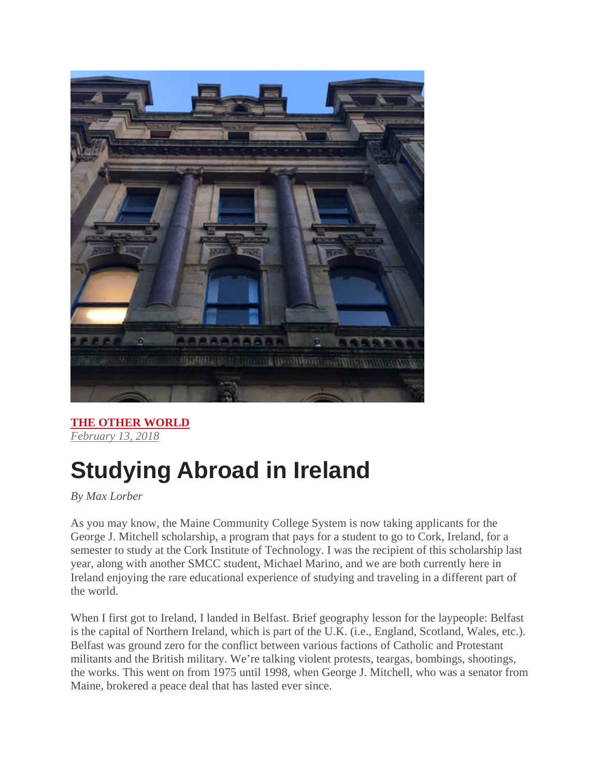

**THE OTHER WORLD** *February 13, 2018*

## **Studying Abroad in Ireland**

*By Max Lorber* 

As you may know, the Maine Community College System is now taking applicants for the George J. Mitchell scholarship, a program that pays for a student to go to Cork, Ireland, for a semester to study at the Cork Institute of Technology. I was the recipient of this scholarship last year, along with another SMCC student, Michael Marino, and we are both currently here in Ireland enjoying the rare educational experience of studying and traveling in a different part of the world.

When I first got to Ireland, I landed in Belfast. Brief geography lesson for the laypeople: Belfast is the capital of Northern Ireland, which is part of the U.K. (i.e., England, Scotland, Wales, etc.). Belfast was ground zero for the conflict between various factions of Catholic and Protestant militants and the British military. We're talking violent protests, teargas, bombings, shootings, the works. This went on from 1975 until 1998, when George J. Mitchell, who was a senator from Maine, brokered a peace deal that has lasted ever since.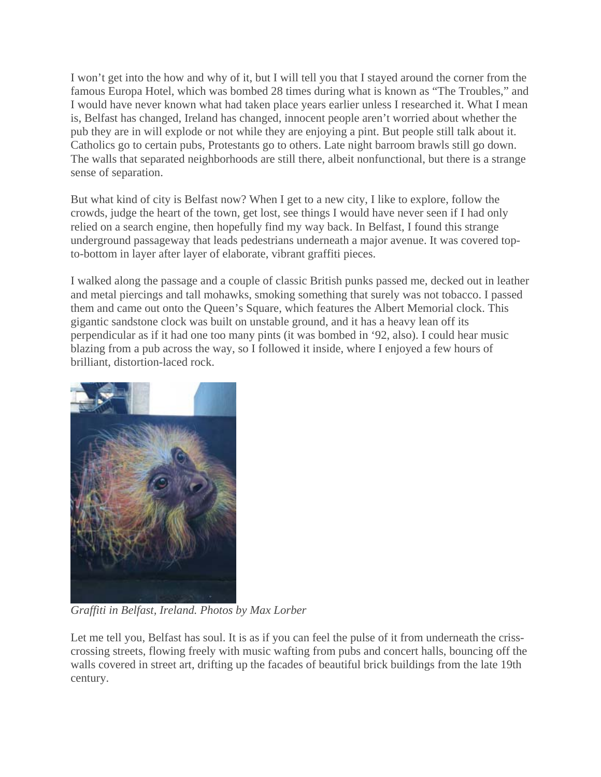I won't get into the how and why of it, but I will tell you that I stayed around the corner from the famous Europa Hotel, which was bombed 28 times during what is known as "The Troubles," and I would have never known what had taken place years earlier unless I researched it. What I mean is, Belfast has changed, Ireland has changed, innocent people aren't worried about whether the pub they are in will explode or not while they are enjoying a pint. But people still talk about it. Catholics go to certain pubs, Protestants go to others. Late night barroom brawls still go down. The walls that separated neighborhoods are still there, albeit nonfunctional, but there is a strange sense of separation.

But what kind of city is Belfast now? When I get to a new city, I like to explore, follow the crowds, judge the heart of the town, get lost, see things I would have never seen if I had only relied on a search engine, then hopefully find my way back. In Belfast, I found this strange underground passageway that leads pedestrians underneath a major avenue. It was covered topto-bottom in layer after layer of elaborate, vibrant graffiti pieces.

I walked along the passage and a couple of classic British punks passed me, decked out in leather and metal piercings and tall mohawks, smoking something that surely was not tobacco. I passed them and came out onto the Queen's Square, which features the Albert Memorial clock. This gigantic sandstone clock was built on unstable ground, and it has a heavy lean off its perpendicular as if it had one too many pints (it was bombed in '92, also). I could hear music blazing from a pub across the way, so I followed it inside, where I enjoyed a few hours of brilliant, distortion-laced rock.



*Graffiti in Belfast, Ireland. Photos by Max Lorber*

Let me tell you, Belfast has soul. It is as if you can feel the pulse of it from underneath the crisscrossing streets, flowing freely with music wafting from pubs and concert halls, bouncing off the walls covered in street art, drifting up the facades of beautiful brick buildings from the late 19th century.